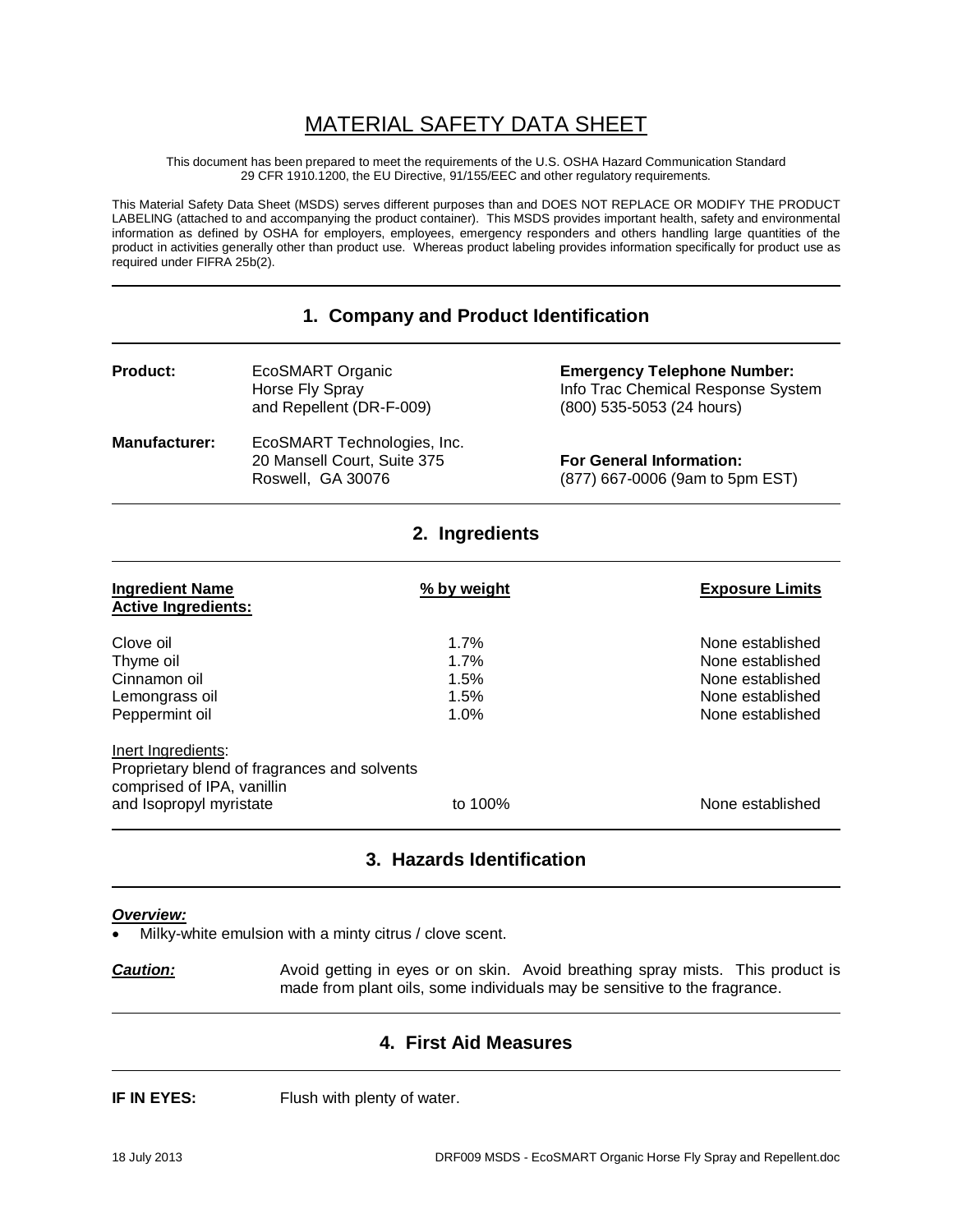# MATERIAL SAFETY DATA SHEET

This document has been prepared to meet the requirements of the U.S. OSHA Hazard Communication Standard 29 CFR 1910.1200, the EU Directive, 91/155/EEC and other regulatory requirements.

This Material Safety Data Sheet (MSDS) serves different purposes than and DOES NOT REPLACE OR MODIFY THE PRODUCT LABELING (attached to and accompanying the product container). This MSDS provides important health, safety and environmental information as defined by OSHA for employers, employees, emergency responders and others handling large quantities of the product in activities generally other than product use. Whereas product labeling provides information specifically for product use as required under FIFRA 25b(2).

#### **1. Company and Product Identification**

| <b>Product:</b>      | EcoSMART Organic<br>Horse Fly Spray<br>and Repellent (DR-F-009)                 | <b>Emergency Telephone Number:</b><br>Info Trac Chemical Response System<br>(800) 535-5053 (24 hours) |
|----------------------|---------------------------------------------------------------------------------|-------------------------------------------------------------------------------------------------------|
| <b>Manufacturer:</b> | EcoSMART Technologies, Inc.<br>20 Mansell Court, Suite 375<br>Roswell, GA 30076 | <b>For General Information:</b><br>(877) 667-0006 (9am to 5pm EST)                                    |

**2. Ingredients**

| <b>Ingredient Name</b><br><b>Active Ingredients:</b>                                                                        | % by weight                          | <b>Exposure Limits</b>                                                                           |
|-----------------------------------------------------------------------------------------------------------------------------|--------------------------------------|--------------------------------------------------------------------------------------------------|
| Clove oil<br>Thyme oil<br>Cinnamon oil<br>Lemongrass oil<br>Peppermint oil                                                  | 1.7%<br>1.7%<br>1.5%<br>1.5%<br>1.0% | None established<br>None established<br>None established<br>None established<br>None established |
| Inert Ingredients:<br>Proprietary blend of fragrances and solvents<br>comprised of IPA, vanillin<br>and Isopropyl myristate | to 100%                              | None established                                                                                 |

# **3. Hazards Identification**

#### *Overview:*

Milky-white emulsion with a minty citrus / clove scent.

**Caution:** Avoid getting in eyes or on skin. Avoid breathing spray mists. This product is made from plant oils, some individuals may be sensitive to the fragrance.

#### **4. First Aid Measures**

**IF IN EYES:** Flush with plenty of water.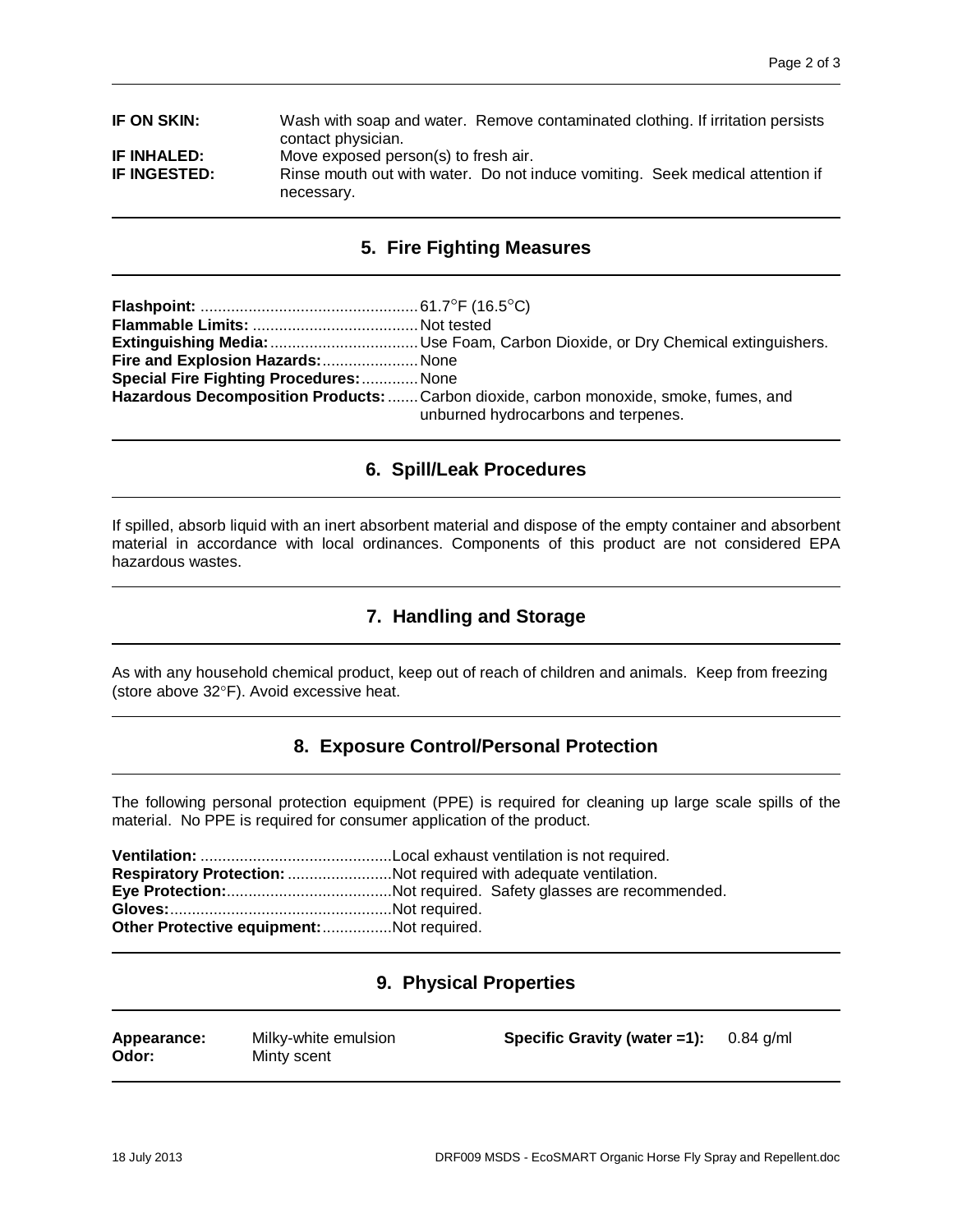| IF ON SKIN:        | Wash with soap and water. Remove contaminated clothing. If irritation persists<br>contact physician. |  |  |
|--------------------|------------------------------------------------------------------------------------------------------|--|--|
| <b>IF INHALED:</b> | Move exposed person(s) to fresh air.                                                                 |  |  |
| IF INGESTED:       | Rinse mouth out with water. Do not induce vomiting. Seek medical attention if<br>necessary.          |  |  |

# **5. Fire Fighting Measures**

| Fire and Explosion Hazards:  None              |                                                                                                                              |
|------------------------------------------------|------------------------------------------------------------------------------------------------------------------------------|
| <b>Special Fire Fighting Procedures:  None</b> |                                                                                                                              |
|                                                | Hazardous Decomposition Products:  Carbon dioxide, carbon monoxide, smoke, fumes, and<br>unburned hydrocarbons and terpenes. |

# **6. Spill/Leak Procedures**

If spilled, absorb liquid with an inert absorbent material and dispose of the empty container and absorbent material in accordance with local ordinances. Components of this product are not considered EPA hazardous wastes.

# **7. Handling and Storage**

As with any household chemical product, keep out of reach of children and animals. Keep from freezing (store above 32°F). Avoid excessive heat.

# **8. Exposure Control/Personal Protection**

The following personal protection equipment (PPE) is required for cleaning up large scale spills of the material. No PPE is required for consumer application of the product.

|                                          | Respiratory Protection: Not required with adequate ventilation. |
|------------------------------------------|-----------------------------------------------------------------|
|                                          |                                                                 |
|                                          |                                                                 |
| Other Protective equipment:Not required. |                                                                 |

# **9. Physical Properties**

| Appearance:<br>Odor: | Milky-white emulsion<br>Minty scent | Specific Gravity (water =1): $0.84$ g/ml |  |
|----------------------|-------------------------------------|------------------------------------------|--|
|                      |                                     |                                          |  |